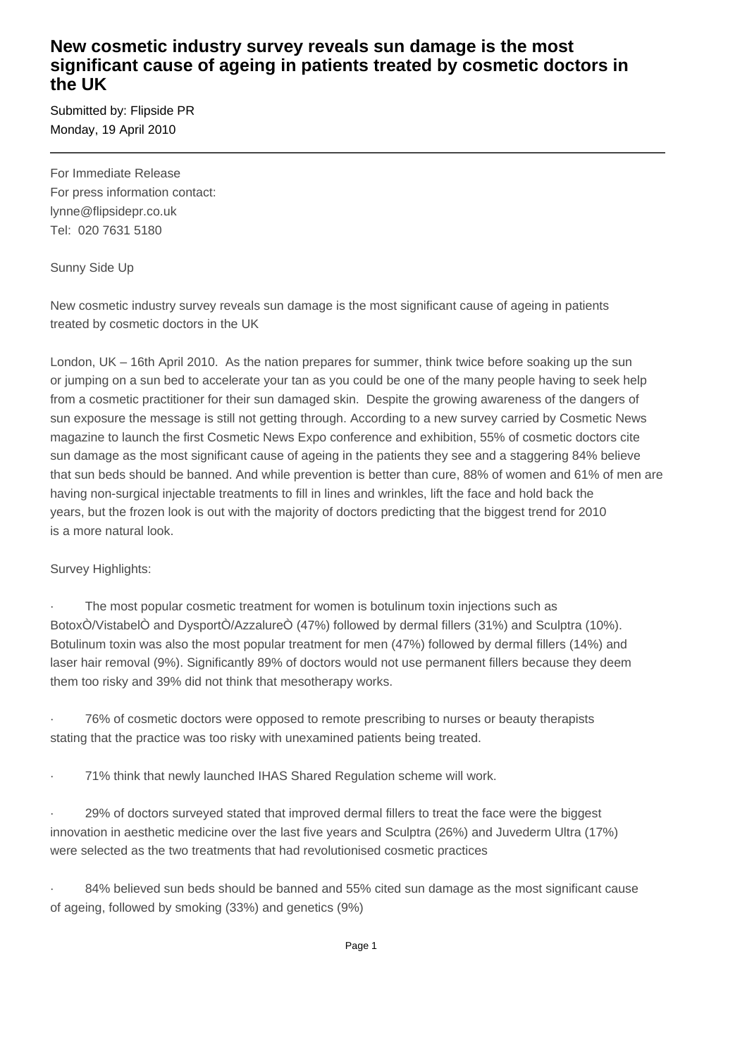## **New cosmetic industry survey reveals sun damage is the most significant cause of ageing in patients treated by cosmetic doctors in the UK**

Submitted by: Flipside PR Monday, 19 April 2010

For Immediate Release For press information contact: lynne@flipsidepr.co.uk Tel: 020 7631 5180

Sunny Side Up

New cosmetic industry survey reveals sun damage is the most significant cause of ageing in patients treated by cosmetic doctors in the UK

London, UK – 16th April 2010. As the nation prepares for summer, think twice before soaking up the sun or jumping on a sun bed to accelerate your tan as you could be one of the many people having to seek help from a cosmetic practitioner for their sun damaged skin. Despite the growing awareness of the dangers of sun exposure the message is still not getting through. According to a new survey carried by Cosmetic News magazine to launch the first Cosmetic News Expo conference and exhibition, 55% of cosmetic doctors cite sun damage as the most significant cause of ageing in the patients they see and a staggering 84% believe that sun beds should be banned. And while prevention is better than cure, 88% of women and 61% of men are having non-surgical injectable treatments to fill in lines and wrinkles, lift the face and hold back the years, but the frozen look is out with the majority of doctors predicting that the biggest trend for 2010 is a more natural look.

Survey Highlights:

The most popular cosmetic treatment for women is botulinum toxin injections such as BotoxÒ/VistabelÒ and DysportÒ/AzzalureÒ (47%) followed by dermal fillers (31%) and Sculptra (10%). Botulinum toxin was also the most popular treatment for men (47%) followed by dermal fillers (14%) and laser hair removal (9%). Significantly 89% of doctors would not use permanent fillers because they deem them too risky and 39% did not think that mesotherapy works.

· 76% of cosmetic doctors were opposed to remote prescribing to nurses or beauty therapists stating that the practice was too risky with unexamined patients being treated.

· 71% think that newly launched IHAS Shared Regulation scheme will work.

29% of doctors surveyed stated that improved dermal fillers to treat the face were the biggest innovation in aesthetic medicine over the last five years and Sculptra (26%) and Juvederm Ultra (17%) were selected as the two treatments that had revolutionised cosmetic practices

84% believed sun beds should be banned and 55% cited sun damage as the most significant cause of ageing, followed by smoking (33%) and genetics (9%)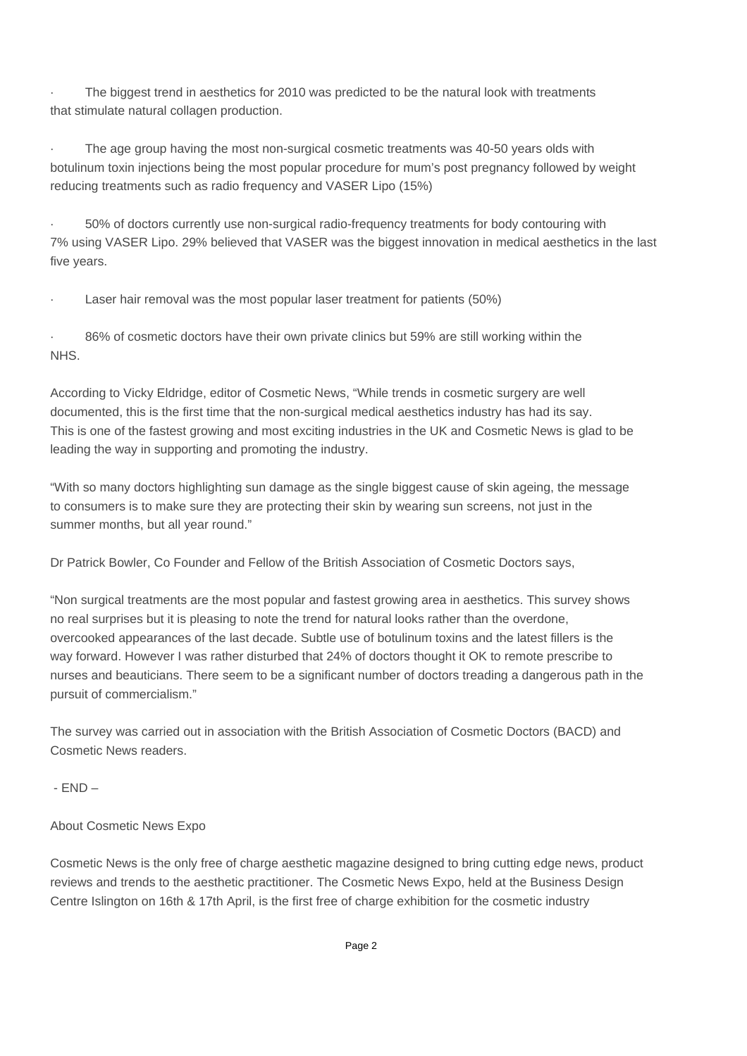The biggest trend in aesthetics for 2010 was predicted to be the natural look with treatments that stimulate natural collagen production.

The age group having the most non-surgical cosmetic treatments was 40-50 years olds with botulinum toxin injections being the most popular procedure for mum's post pregnancy followed by weight reducing treatments such as radio frequency and VASER Lipo (15%)

· 50% of doctors currently use non-surgical radio-frequency treatments for body contouring with 7% using VASER Lipo. 29% believed that VASER was the biggest innovation in medical aesthetics in the last five years.

Laser hair removal was the most popular laser treatment for patients (50%)

86% of cosmetic doctors have their own private clinics but 59% are still working within the NHS.

According to Vicky Eldridge, editor of Cosmetic News, "While trends in cosmetic surgery are well documented, this is the first time that the non-surgical medical aesthetics industry has had its say. This is one of the fastest growing and most exciting industries in the UK and Cosmetic News is glad to be leading the way in supporting and promoting the industry.

"With so many doctors highlighting sun damage as the single biggest cause of skin ageing, the message to consumers is to make sure they are protecting their skin by wearing sun screens, not just in the summer months, but all year round."

Dr Patrick Bowler, Co Founder and Fellow of the British Association of Cosmetic Doctors says,

"Non surgical treatments are the most popular and fastest growing area in aesthetics. This survey shows no real surprises but it is pleasing to note the trend for natural looks rather than the overdone, overcooked appearances of the last decade. Subtle use of botulinum toxins and the latest fillers is the way forward. However I was rather disturbed that 24% of doctors thought it OK to remote prescribe to nurses and beauticians. There seem to be a significant number of doctors treading a dangerous path in the pursuit of commercialism."

The survey was carried out in association with the British Association of Cosmetic Doctors (BACD) and Cosmetic News readers.

- END –

About Cosmetic News Expo

Cosmetic News is the only free of charge aesthetic magazine designed to bring cutting edge news, product reviews and trends to the aesthetic practitioner. The Cosmetic News Expo, held at the Business Design Centre Islington on 16th & 17th April, is the first free of charge exhibition for the cosmetic industry